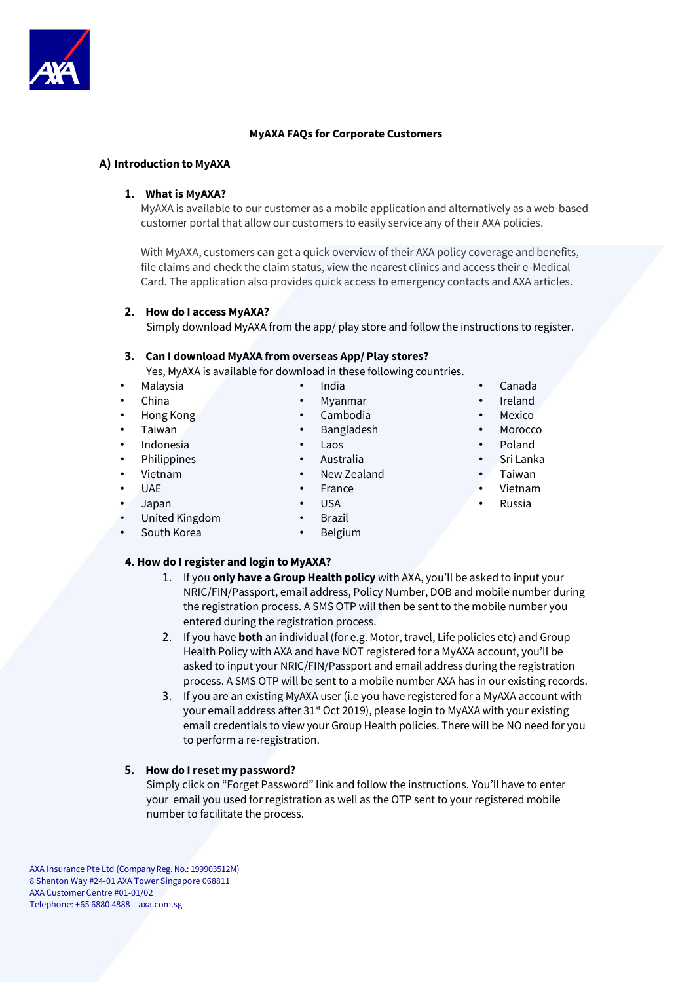

## **MyAXA FAQs for Corporate Customers**

#### **A) Introduction to MyAXA**

#### **1. What is MyAXA?**

MyAXA is available to our customer as a mobile application and alternatively as a web-based customer portal that allow our customers to easily service any of their AXA policies.

With MyAXA, customers can get a quick overview of their AXA policy coverage and benefits, file claims and check the claim status, view the nearest clinics and access their e-Medical Card. The application also provides quick access to emergency contacts and AXA articles.

#### **2. How do I access MyAXA?**

Simply download MyAXA from the app/ play store and follow the instructions to register.

#### **3. Can I download MyAXA from overseas App/ Play stores?**

Yes, MyAXA is available for download in these following countries.

- Malaysia
- China
- Hong Kong
- Taiwan
- Indonesia
- **Philippines**
- Vietnam
- UAE
- Japan
- United Kingdom
- South Korea
- India • Myanmar
- Cambodia
- Bangladesh
- Laos
- Australia
- New Zealand
- France
- USA
- **Brazil**
- Belgium

# **4. How do I register and login to MyAXA?**

- 1. If you **only have a Group Health policy** with AXA, you'll be asked to input your NRIC/FIN/Passport, email address, Policy Number, DOB and mobile number during the registration process. A SMS OTP will then be sent to the mobile number you entered during the registration process.
- 2. If you have **both** an individual (for e.g. Motor, travel, Life policies etc) and Group Health Policy with AXA and have NOT registered for a MyAXA account, you'll be asked to input your NRIC/FIN/Passport and email address during the registration process. A SMS OTP will be sent to a mobile number AXA has in our existing records.
- 3. If you are an existing MyAXA user (i.e you have registered for a MyAXA account with your email address after 31<sup>st</sup> Oct 2019), please login to MyAXA with your existing email credentials to view your Group Health policies. There will be NO need for you to perform a re-registration.

#### **5. How do I reset my password?**

Simply click on "Forget Password" link and follow the instructions. You'll have to enter your email you used for registration as well as the OTP sent to your registered mobile number to facilitate the process.

AXA Insurance Pte Ltd (Company Reg. No.: 199903512M) 8 Shenton Way #24-01 AXA Tower Singapore 068811 AXA Customer Centre #01-01/02 Telephone: +65 6880 4888 – axa.com.sg

- Canada
	- **Ireland**
	- **Mexico**
	- Morocco
	- Poland
	- Sri Lanka
	- Taiwan
	- Vietnam
	- Russia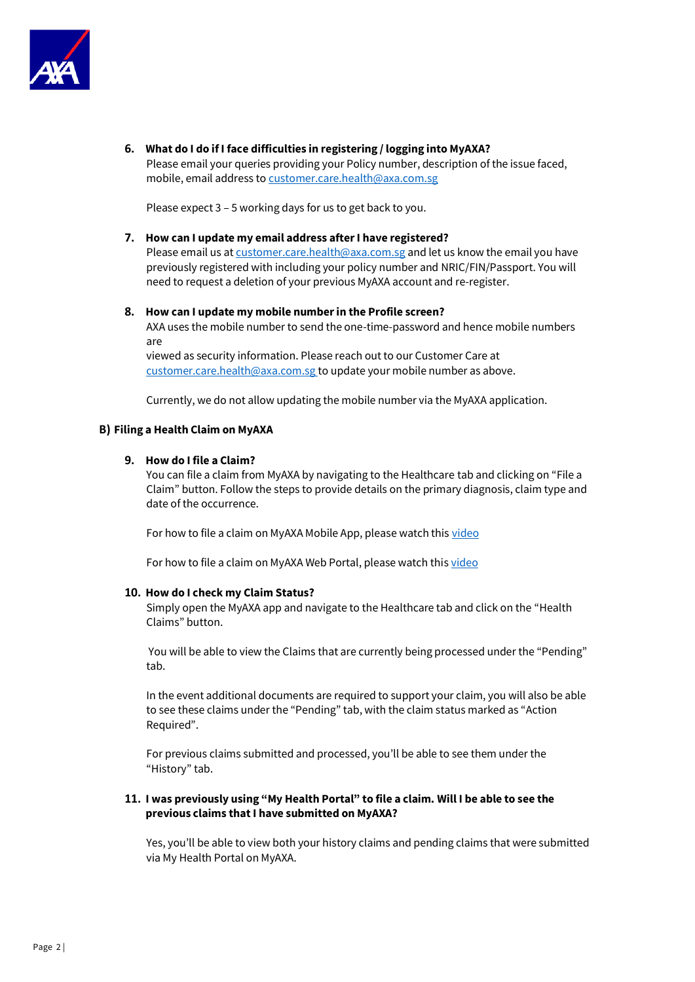

**6. What do I do if I face difficulties in registering / logging into MyAXA?** 

Please email your queries providing your Policy number, description of the issue faced, mobile, email address to customer.care.health@axa.com.sg

Please expect 3 – 5 working days for us to get back to you.

# **7. How can I update my email address after I have registered?**

Please email us at customer.care.health@axa.com.sg and let us know the email you have previously registered with including your policy number and NRIC/FIN/Passport. You will need to request a deletion of your previous MyAXA account and re-register.

## **8. How can I update my mobile number in the Profile screen?**

AXA uses the mobile number to send the one-time-password and hence mobile numbers are

viewed as security information. Please reach out to our Customer Care at customer.care.health@axa.com.sg to update your mobile number as above.

Currently, we do not allow updating the mobile number via the MyAXA application.

## **B) Filing a Health Claim on MyAXA**

## **9. How do I file a Claim?**

You can file a claim from MyAXA by navigating to the Healthcare tab and clicking on "File a Claim" button. Follow the steps to provide details on the primary diagnosis, claim type and date of the occurrence.

For how to file a claim on MyAXA Mobile App, please watch this [video](https://www.youtube.com/watch?v=-ofnf1W-1V4&t=77s)

For how to file a claim on MyAXA Web Portal, please watch th[is video](https://www.youtube.com/watch?v=GvOOBre-SaU)

## **10. How do I check my Claim Status?**

Simply open the MyAXA app and navigate to the Healthcare tab and click on the "Health Claims" button.

You will be able to view the Claims that are currently being processed under the "Pending" tab.

In the event additional documents are required to support your claim, you will also be able to see these claims under the "Pending" tab, with the claim status marked as "Action Required".

For previous claims submitted and processed, you'll be able to see them under the "History" tab.

# **11. I was previously using "My Health Portal" to file a claim. Will I be able to see the previous claims that I have submitted on MyAXA?**

Yes, you'll be able to view both your history claims and pending claims that were submitted via My Health Portal on MyAXA.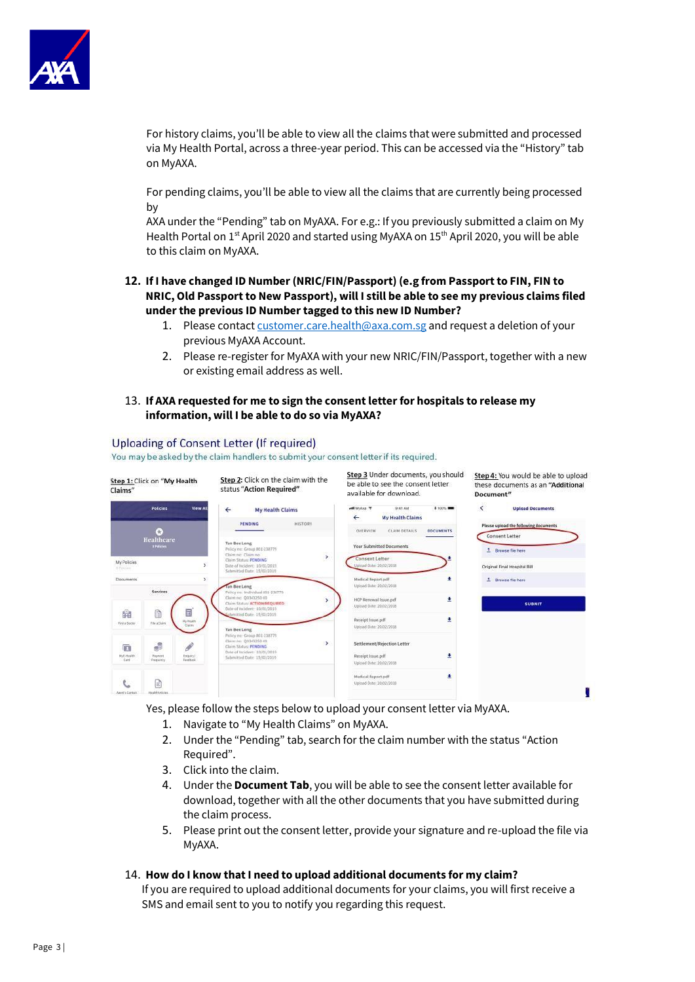

For history claims, you'll be able to view all the claims that were submitted and processed via My Health Portal, across a three-year period. This can be accessed via the "History" tab on MyAXA.

For pending claims, you'll be able to view all the claims that are currently being processed by

AXA under the "Pending" tab on MyAXA. For e.g.: If you previously submitted a claim on My Health Portal on 1<sup>st</sup> April 2020 and started using MyAXA on 15<sup>th</sup> April 2020, you will be able to this claim on MyAXA.

- **12. If I have changed ID Number (NRIC/FIN/Passport) (e.g from Passport to FIN, FIN to NRIC, Old Passport to New Passport), will I still be able to see my previous claims filed under the previous ID Number tagged to this new ID Number?** 
	- 1. Please contac[t customer.care.health@axa.com.sg](mailto:customer.care.health@axa.com.sg) and request a deletion of your previous MyAXA Account.
	- 2. Please re-register for MyAXA with your new NRIC/FIN/Passport, together with a new or existing email address as well.

## 13. **If AXA requested for me to sign the consent letter for hospitals to release my information, will I be able to do so via MyAXA?**

# Uploading of Consent Letter (If required)

You may be asked by the claim handlers to submit your consent letter if its required.

| Step 1: Click on "My Health<br>Claims" |                                                                  | Step 2: Click on the claim with the<br>status "Action Required"                                                                                              | Step 3 Under documents, you should<br>be able to see the consent letter<br>available for download. | Step 4: You would be able to upload<br>these documents as an "Additional<br>Document" |
|----------------------------------------|------------------------------------------------------------------|--------------------------------------------------------------------------------------------------------------------------------------------------------------|----------------------------------------------------------------------------------------------------|---------------------------------------------------------------------------------------|
|                                        | <b>Policies</b><br><b>View All</b>                               | $\leftarrow$<br><b>My Health Claims</b>                                                                                                                      | will My Axa 9<br>\$100%<br>9:41 AM<br><b>My Health Claims</b><br>$\leftarrow$                      | $\overline{\phantom{a}}$<br><b>Upload Documents</b>                                   |
|                                        | æ<br>Healthcare<br><b>SPolicies</b>                              | HISTORY<br><b>PENDING</b><br>Tan Bee Leng<br>Policy no: Group B01-238779                                                                                     | <b>DOCUMENTS</b><br><b>OVERVIEW</b><br><b>CLAIM DETAILS</b><br><b>Your Submitted Documents</b>     | <b>Please upload the following documents</b><br>Consent Letter<br>1 Browse file here  |
| My Policies<br>11 Policies             | ×                                                                | $\,$<br>Claim no: Claim no<br>Claim Status: PENDING<br>Date of Incident: 10/01/2013<br>Submitted Date: 15/02/2016                                            | Consent Letter<br>Upload Date: 20/02/2018                                                          | Original Final Hospital Bill                                                          |
| <b>Documents</b>                       | Services                                                         | Tan Bee Leng                                                                                                                                                 | ٠<br>Medical Report odf<br>Upload Date: 20/02/2018                                                 | t Browse file here                                                                    |
|                                        |                                                                  | Policy no: Individual 881-238779<br>Claimne: 00343250-00<br>,<br>Claim Status; ACTION REQUIRED<br>Date of mcident: 10/01/2019                                | ÷<br>HCP Renewal Issue.pdf<br>Upload Date: 20/02/2018                                              | <b>SUBMIT</b>                                                                         |
| 幽<br>Find a Goctor                     | 目<br>A<br>My Health<br>File a Cluim<br><b>Claims</b>             | ubmitted Date: 15/02/2019<br>Tan Bee Leng                                                                                                                    | ٠<br>Receipt Issue.pdf<br>Upload Date: 20/02/2018                                                  |                                                                                       |
| 庙<br><b>My E-Health</b><br>Card.       | ś<br>P.<br>Payment<br>Enquiry /<br><b>Teodhoric</b><br>Frequency | Policy no: Group 801-238779<br>Claim nr: 00343250-00<br>$\rightarrow$<br>Claim Status: PENDING<br>Date of Incident: 10/01/2019<br>Submitted Date: 15/02/2019 | Settlement/Rejection Letter<br>٠<br>Receipt Issue.pdf<br>Upload Date: 20/02/2018                   |                                                                                       |
| Aacet's Contact                        | ≘<br><b>Health Articles</b>                                      |                                                                                                                                                              | ٠<br>Medical Report.pdf<br>Upload Date: 20/02/2018                                                 |                                                                                       |

Yes, please follow the steps below to upload your consent letter via MyAXA.

- 1. Navigate to "My Health Claims" on MyAXA.
- 2. Under the "Pending" tab, search for the claim number with the status "Action Required".
- 3. Click into the claim.
- 4. Under the **Document Tab**, you will be able to see the consent letter available for download, together with all the other documents that you have submitted during the claim process.
- 5. Please print out the consent letter, provide your signature and re-upload the file via MyAXA.

# 14. **How do I know that I need to upload additional documents for my claim?**

If you are required to upload additional documents for your claims, you will first receive a SMS and email sent to you to notify you regarding this request.